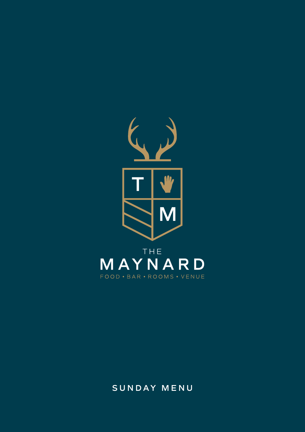

**SUNDAY MENU**